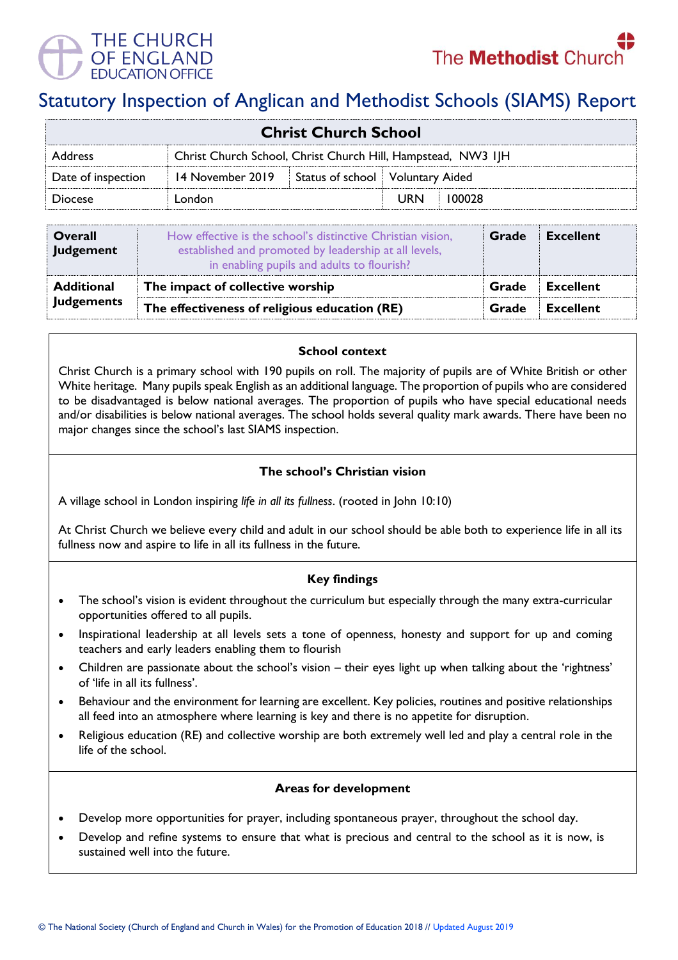

# Statutory Inspection of Anglican and Methodist Schools (SIAMS) Report

| <b>Christ Church School</b> |                                                              |                                  |            |        |  |
|-----------------------------|--------------------------------------------------------------|----------------------------------|------------|--------|--|
| <b>Address</b>              | Christ Church School, Christ Church Hill, Hampstead, NW3 IJH |                                  |            |        |  |
| Date of inspection          | 14 November 2019                                             | Status of school Voluntary Aided |            |        |  |
| <b>Diocese</b>              | London                                                       |                                  | <b>URN</b> | 100028 |  |

| <b>Overall</b><br>Judgement | How effective is the school's distinctive Christian vision,<br>established and promoted by leadership at all levels,<br>in enabling pupils and adults to flourish? | Grade | <b>Excellent</b> |
|-----------------------------|--------------------------------------------------------------------------------------------------------------------------------------------------------------------|-------|------------------|
| <b>Additional</b>           | The impact of collective worship                                                                                                                                   |       | <b>Excellent</b> |
| <b>Judgements</b>           | The effectiveness of religious education (RE)                                                                                                                      |       | Excellent        |

### **School context**

Christ Church is a primary school with 190 pupils on roll. The majority of pupils are of White British or other White heritage. Many pupils speak English as an additional language. The proportion of pupils who are considered to be disadvantaged is below national averages. The proportion of pupils who have special educational needs and/or disabilities is below national averages. The school holds several quality mark awards. There have been no major changes since the school's last SIAMS inspection.

## **The school's Christian vision**

A village school in London inspiring *life in all its fullness*. (rooted in John 10:10)

At Christ Church we believe every child and adult in our school should be able both to experience life in all its fullness now and aspire to life in all its fullness in the future.

## **Key findings**

- The school's vision is evident throughout the curriculum but especially through the many extra-curricular opportunities offered to all pupils.
- Inspirational leadership at all levels sets a tone of openness, honesty and support for up and coming teachers and early leaders enabling them to flourish
- Children are passionate about the school's vision their eyes light up when talking about the 'rightness' of 'life in all its fullness'.
- Behaviour and the environment for learning are excellent. Key policies, routines and positive relationships all feed into an atmosphere where learning is key and there is no appetite for disruption.
- Religious education (RE) and collective worship are both extremely well led and play a central role in the life of the school.

### **Areas for development**

- Develop more opportunities for prayer, including spontaneous prayer, throughout the school day.
- Develop and refine systems to ensure that what is precious and central to the school as it is now, is sustained well into the future.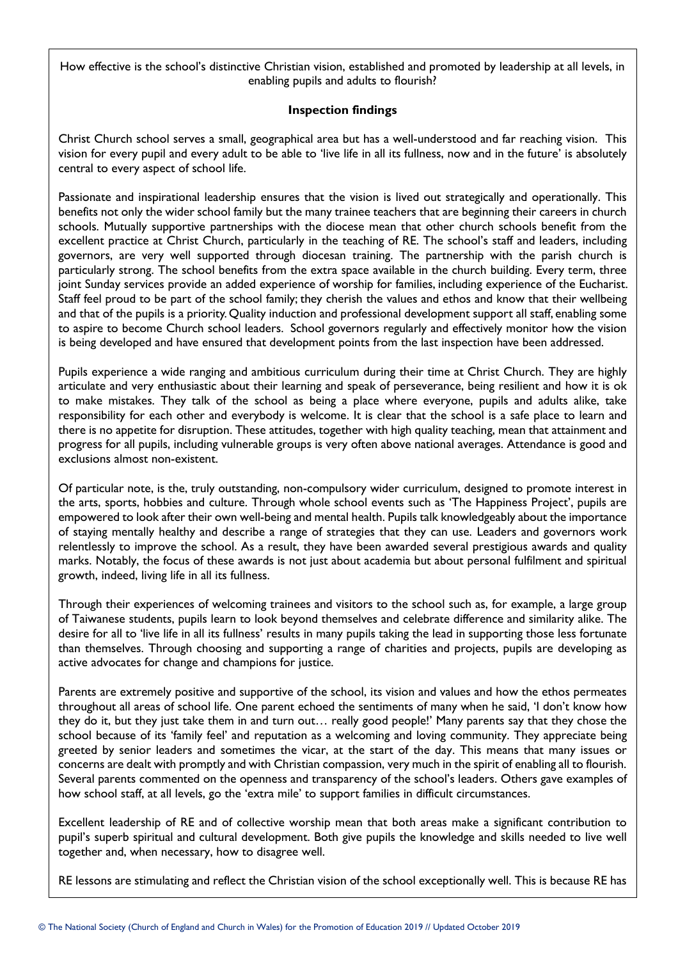How effective is the school's distinctive Christian vision, established and promoted by leadership at all levels, in enabling pupils and adults to flourish?

#### **Inspection findings**

Christ Church school serves a small, geographical area but has a well-understood and far reaching vision. This vision for every pupil and every adult to be able to 'live life in all its fullness, now and in the future' is absolutely central to every aspect of school life.

Passionate and inspirational leadership ensures that the vision is lived out strategically and operationally. This benefits not only the wider school family but the many trainee teachers that are beginning their careers in church schools. Mutually supportive partnerships with the diocese mean that other church schools benefit from the excellent practice at Christ Church, particularly in the teaching of RE. The school's staff and leaders, including governors, are very well supported through diocesan training. The partnership with the parish church is particularly strong. The school benefits from the extra space available in the church building. Every term, three joint Sunday services provide an added experience of worship for families, including experience of the Eucharist. Staff feel proud to be part of the school family; they cherish the values and ethos and know that their wellbeing and that of the pupils is a priority. Quality induction and professional development support all staff, enabling some to aspire to become Church school leaders. School governors regularly and effectively monitor how the vision is being developed and have ensured that development points from the last inspection have been addressed.

Pupils experience a wide ranging and ambitious curriculum during their time at Christ Church. They are highly articulate and very enthusiastic about their learning and speak of perseverance, being resilient and how it is ok to make mistakes. They talk of the school as being a place where everyone, pupils and adults alike, take responsibility for each other and everybody is welcome. It is clear that the school is a safe place to learn and there is no appetite for disruption. These attitudes, together with high quality teaching, mean that attainment and progress for all pupils, including vulnerable groups is very often above national averages. Attendance is good and exclusions almost non-existent.

Of particular note, is the, truly outstanding, non-compulsory wider curriculum, designed to promote interest in the arts, sports, hobbies and culture. Through whole school events such as 'The Happiness Project', pupils are empowered to look after their own well-being and mental health. Pupils talk knowledgeably about the importance of staying mentally healthy and describe a range of strategies that they can use. Leaders and governors work relentlessly to improve the school. As a result, they have been awarded several prestigious awards and quality marks. Notably, the focus of these awards is not just about academia but about personal fulfilment and spiritual growth, indeed, living life in all its fullness.

Through their experiences of welcoming trainees and visitors to the school such as, for example, a large group of Taiwanese students, pupils learn to look beyond themselves and celebrate difference and similarity alike. The desire for all to 'live life in all its fullness' results in many pupils taking the lead in supporting those less fortunate than themselves. Through choosing and supporting a range of charities and projects, pupils are developing as active advocates for change and champions for justice.

Parents are extremely positive and supportive of the school, its vision and values and how the ethos permeates throughout all areas of school life. One parent echoed the sentiments of many when he said, 'I don't know how they do it, but they just take them in and turn out… really good people!' Many parents say that they chose the school because of its 'family feel' and reputation as a welcoming and loving community. They appreciate being greeted by senior leaders and sometimes the vicar, at the start of the day. This means that many issues or concerns are dealt with promptly and with Christian compassion, very much in the spirit of enabling all to flourish. Several parents commented on the openness and transparency of the school's leaders. Others gave examples of how school staff, at all levels, go the 'extra mile' to support families in difficult circumstances.

Excellent leadership of RE and of collective worship mean that both areas make a significant contribution to pupil's superb spiritual and cultural development. Both give pupils the knowledge and skills needed to live well together and, when necessary, how to disagree well.

RE lessons are stimulating and reflect the Christian vision of the school exceptionally well. This is because RE has